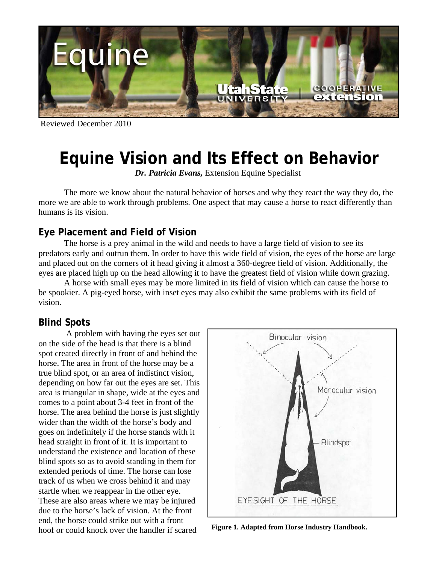

Reviewed December 2010

# **Equine Vision and Its Effect on Behavior**

*Dr. Patricia Evans,* Extension Equine Specialist

 The more we know about the natural behavior of horses and why they react the way they do, the more we are able to work through problems. One aspect that may cause a horse to react differently than humans is its vision.

## **Eye Placement and Field of Vision**

 The horse is a prey animal in the wild and needs to have a large field of vision to see its predators early and outrun them. In order to have this wide field of vision, the eyes of the horse are large and placed out on the corners of it head giving it almost a 360-degree field of vision. Additionally, the eyes are placed high up on the head allowing it to have the greatest field of vision while down grazing.

 A horse with small eyes may be more limited in its field of vision which can cause the horse to be spookier. A pig-eyed horse, with inset eyes may also exhibit the same problems with its field of vision.

## **Blind Spots**

 A problem with having the eyes set out on the side of the head is that there is a blind spot created directly in front of and behind the horse. The area in front of the horse may be a true blind spot, or an area of indistinct vision, depending on how far out the eyes are set. This area is triangular in shape, wide at the eyes and comes to a point about 3-4 feet in front of the horse. The area behind the horse is just slightly wider than the width of the horse's body and goes on indefinitely if the horse stands with it head straight in front of it. It is important to understand the existence and location of these blind spots so as to avoid standing in them for extended periods of time. The horse can lose track of us when we cross behind it and may startle when we reappear in the other eye. These are also areas where we may be injured due to the horse's lack of vision. At the front end, the horse could strike out with a front hoof or could knock over the handler if scared **Figure 1. Adapted from Horse Industry Handbook.**

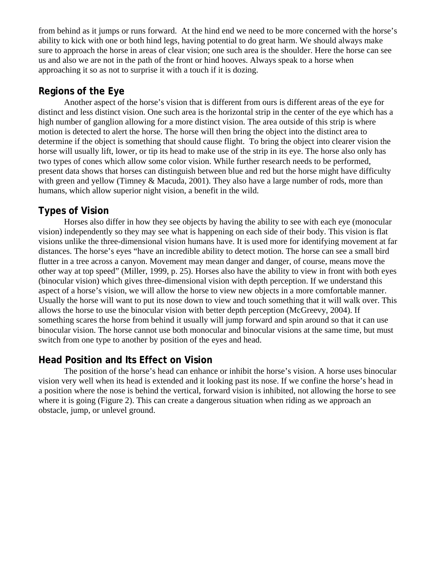from behind as it jumps or runs forward. At the hind end we need to be more concerned with the horse's ability to kick with one or both hind legs, having potential to do great harm. We should always make sure to approach the horse in areas of clear vision; one such area is the shoulder. Here the horse can see us and also we are not in the path of the front or hind hooves. Always speak to a horse when approaching it so as not to surprise it with a touch if it is dozing.

### **Regions of the Eye**

 Another aspect of the horse's vision that is different from ours is different areas of the eye for distinct and less distinct vision. One such area is the horizontal strip in the center of the eye which has a high number of ganglion allowing for a more distinct vision. The area outside of this strip is where motion is detected to alert the horse. The horse will then bring the object into the distinct area to determine if the object is something that should cause flight. To bring the object into clearer vision the horse will usually lift, lower, or tip its head to make use of the strip in its eye. The horse also only has two types of cones which allow some color vision. While further research needs to be performed, present data shows that horses can distinguish between blue and red but the horse might have difficulty with green and yellow (Timney & Macuda, 2001). They also have a large number of rods, more than humans, which allow superior night vision, a benefit in the wild.

# **Types of Vision**

 Horses also differ in how they see objects by having the ability to see with each eye (monocular vision) independently so they may see what is happening on each side of their body. This vision is flat visions unlike the three-dimensional vision humans have. It is used more for identifying movement at far distances. The horse's eyes "have an incredible ability to detect motion. The horse can see a small bird flutter in a tree across a canyon. Movement may mean danger and danger, of course, means move the other way at top speed" (Miller, 1999, p. 25). Horses also have the ability to view in front with both eyes (binocular vision) which gives three-dimensional vision with depth perception. If we understand this aspect of a horse's vision, we will allow the horse to view new objects in a more comfortable manner. Usually the horse will want to put its nose down to view and touch something that it will walk over. This allows the horse to use the binocular vision with better depth perception (McGreevy, 2004). If something scares the horse from behind it usually will jump forward and spin around so that it can use binocular vision. The horse cannot use both monocular and binocular visions at the same time, but must switch from one type to another by position of the eyes and head.

### **Head Position and Its Effect on Vision**

 The position of the horse's head can enhance or inhibit the horse's vision. A horse uses binocular vision very well when its head is extended and it looking past its nose. If we confine the horse's head in a position where the nose is behind the vertical, forward vision is inhibited, not allowing the horse to see where it is going (Figure 2). This can create a dangerous situation when riding as we approach an obstacle, jump, or unlevel ground.